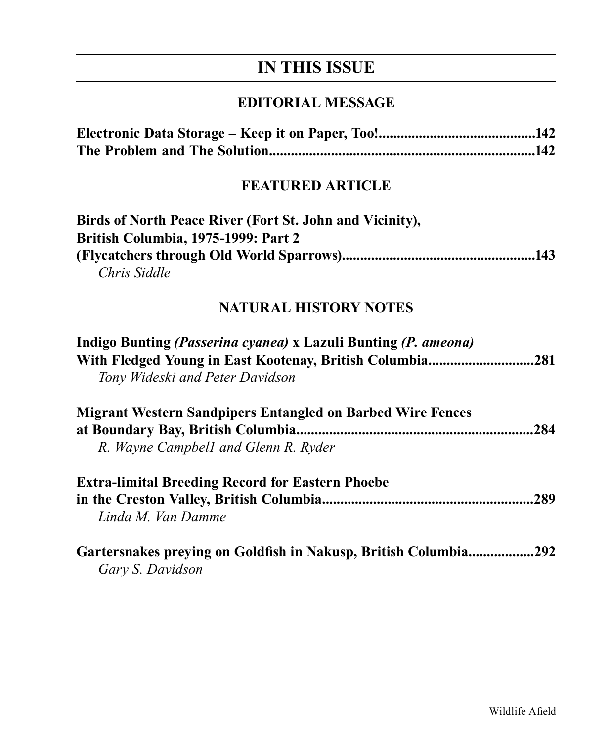# **IN THIS ISSUE**

### **EDITORIAL MESSAGE**

### **FEATURED ARTICLE**

| Birds of North Peace River (Fort St. John and Vicinity), |
|----------------------------------------------------------|
| <b>British Columbia, 1975-1999: Part 2</b>               |
|                                                          |
| Chris Siddle                                             |

## **NATURAL HISTORY NOTES**

| Indigo Bunting (Passerina cyanea) x Lazuli Bunting (P. ameona)<br>With Fledged Young in East Kootenay, British Columbia281<br>Tony Wideski and Peter Davidson |      |
|---------------------------------------------------------------------------------------------------------------------------------------------------------------|------|
| <b>Migrant Western Sandpipers Entangled on Barbed Wire Fences</b><br>R. Wayne Campbell and Glenn R. Ryder                                                     | .284 |
| <b>Extra-limital Breeding Record for Eastern Phoebe</b><br>Linda M. Van Damme                                                                                 | .289 |
| Gartersnakes preying on Goldfish in Nakusp, British Columbia<br>Gary S. Davidson                                                                              | .292 |